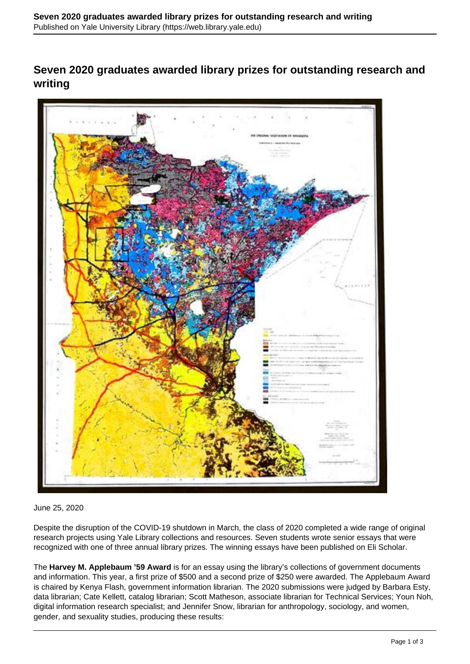## **Seven 2020 graduates awarded library prizes for outstanding research and writing**



## June 25, 2020

Despite the disruption of the COVID-19 shutdown in March, the class of 2020 completed a wide range of original research projects using Yale Library collections and resources. Seven students wrote senior essays that were recognized with one of three annual library prizes. The winning essays have been published on Eli Scholar.

The **Harvey M. Applebaum '59 Award** is for an essay using the library's collections of government documents and information. This year, a first prize of \$500 and a second prize of \$250 were awarded. The Applebaum Award is chaired by Kenya Flash, government information librarian. The 2020 submissions were judged by Barbara Esty, data librarian; Cate Kellett, catalog librarian; Scott Matheson, associate librarian for Technical Services; Youn Noh, digital information research specialist; and Jennifer Snow, librarian for anthropology, sociology, and women, gender, and sexuality studies, producing these results: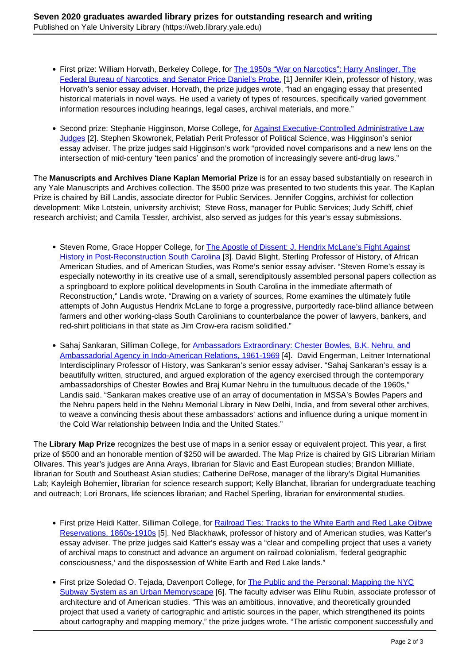- First prize: William Horvath, Berkeley College, for [The 1950s "War on Narcotics": Harry Anslinger, The](https://elischolar.library.yale.edu/applebaum_award/21/) [Federal Bureau of Narcotics, and Senator Price Daniel's Probe.](https://elischolar.library.yale.edu/applebaum_award/21/) [1] Jennifer Klein, professor of history, was Horvath's senior essay adviser. Horvath, the prize judges wrote, "had an engaging essay that presented historical materials in novel ways. He used a variety of types of resources, specifically varied government information resources including hearings, legal cases, archival materials, and more."
- Second prize: Stephanie Higginson, Morse College, for Against Executive-Controlled Administrative Law Judges [2]. Stephen Skowronek, Pelatiah Perit Professor of Political Science, was Higginson's senior essay adviser. The prize judges said Higginson's work "provided novel comparisons and a new lens on the intersection of mid-century 'teen panics' and the promotion of increasingly severe anti-drug laws."

The **Manuscripts and Archives Diane Kaplan Memorial Prize** is for an essay based substantially on research in any Yale Manuscripts and Archives collection. The \$500 prize was presented to two students this year. The Kaplan Prize is chaired by Bill Landis, associate director for Public Services. Jennifer Coggins, archivist for collection development; Mike Lotstein, university archivist; Steve Ross, manager for Public Services; Judy Schiff, chief research archivist; and Camila Tessler, archivist, also served as judges for this year's essay submissions.

- Steven Rome, Grace Hopper College, for The Apostle of Dissent: J. Hendrix McLane's Fight Against History in Post-Reconstruction South Carolina [3]. David Blight, Sterling Professor of History, of African American Studies, and of American Studies, was Rome's senior essay adviser. "Steven Rome's essay is especially noteworthy in its creative use of a small, serendipitously assembled personal papers collection as a springboard to explore political developments in South Carolina in the immediate aftermath of Reconstruction," Landis wrote. "Drawing on a variety of sources, Rome examines the ultimately futile attempts of John Augustus Hendrix McLane to forge a progressive, purportedly race-blind alliance between farmers and other working-class South Carolinians to counterbalance the power of lawyers, bankers, and red-shirt politicians in that state as Jim Crow-era racism solidified."
- Sahaj Sankaran, Silliman College, for Ambassadors Extraordinary: Chester Bowles, B.K. Nehru, and Ambassadorial Agency in Indo-American Relations, 1961-1969 [4]. David Engerman, Leitner International Interdisciplinary Professor of History, was Sankaran's senior essay adviser. "Sahaj Sankaran's essay is a beautifully written, structured, and argued exploration of the agency exercised through the contemporary ambassadorships of Chester Bowles and Braj Kumar Nehru in the tumultuous decade of the 1960s," Landis said. "Sankaran makes creative use of an array of documentation in MSSA's Bowles Papers and the Nehru papers held in the Nehru Memorial Library in New Delhi, India, and from several other archives, to weave a convincing thesis about these ambassadors' actions and influence during a unique moment in the Cold War relationship between India and the United States."

The **Library Map Prize** recognizes the best use of maps in a senior essay or equivalent project. This year, a first prize of \$500 and an honorable mention of \$250 will be awarded. The Map Prize is chaired by GIS Librarian Miriam Olivares. This year's judges are Anna Arays, librarian for Slavic and East European studies; Brandon Milliate, librarian for South and Southeast Asian studies; Catherine DeRose, manager of the library's Digital Humanities Lab; Kayleigh Bohemier, librarian for science research support; Kelly Blanchat, librarian for undergraduate teaching and outreach; Lori Bronars, life sciences librarian; and Rachel Sperling, librarian for environmental studies.

- First prize Heidi Katter, Silliman College, for Railroad Ties: Tracks to the White Earth and Red Lake Ojibwe Reservations, 1860s-1910s [5]. Ned Blackhawk, professor of history and of American studies, was Katter's essay adviser. The prize judges said Katter's essay was a "clear and compelling project that uses a variety of archival maps to construct and advance an argument on railroad colonialism, 'federal geographic consciousness,' and the dispossession of White Earth and Red Lake lands."
- First prize Soledad O. Tejada, Davenport College, for The Public and the Personal: Mapping the NYC Subway System as an Urban Memoryscape [6]. The faculty adviser was Elihu Rubin, associate professor of architecture and of American studies. "This was an ambitious, innovative, and theoretically grounded project that used a variety of cartographic and artistic sources in the paper, which strengthened its points about cartography and mapping memory," the prize judges wrote. "The artistic component successfully and